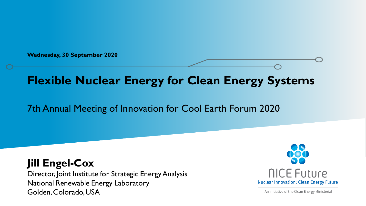**Wednesday, 30 September 2020** 

# **Flexible Nuclear Energy for Clean Energy Systems**

## 7th Annual Meeting of Innovation for Cool Earth Forum 2020

**Jill Engel-Cox** Director, Joint Institute for Strategic Energy Analysis National Renewable Energy Laboratory Golden, Colorado, USA



An Initiative of the Clean Energy Ministerial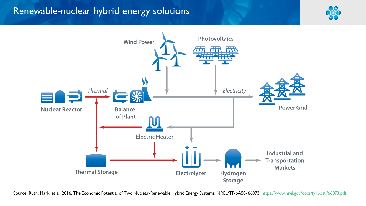## Renewable-nuclear hybrid energy solutions





Source: Ruth, Mark, et al, 2016. The Economic Potential of Two Nuclear-Renewable Hybrid Energy Systems, NREL/TP-6A50- 66073.<https://www.nrel.gov/docs/fy16osti/66073.pdf>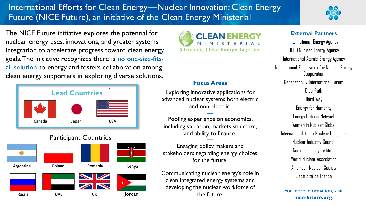## International Efforts for Clean Energy—Nuclear Innovation: Clean Energy Future (NICE Future), an initiative of the Clean Energy Ministerial



The NICE Future initiative explores the potential for nuclear energy uses, innovations, and greater systems integration to accelerate progress toward clean energy goals. The initiative recognizes there is no one-size-fitsall solution to energy and fosters collaboration among clean energy supporters in exploring diverse solutions.







## **Focus Areas**

Exploring innovative applications for advanced nuclear systems both electric and non-electric.

**—** Pooling experience on economics, including valuation, markets structure, and ability to finance.

**—** Engaging policy makers and stakeholders regarding energy choices for the future. **—**

Communicating nuclear energy's role in clean integrated energy systems and developing the nuclear workforce of the future.

## **External Partners**

International Energy Agency OECD Nuclear Energy Agency International Atomic Energy Agency International Framework for Nuclear Energy Cooperation Generation IV International Forum ClearPath Third Way Energy for Humanity Energy Options Network Women in Nuclear Global International Youth Nuclear Congress Nuclear Industry Council Nuclear Energy Institute World Nuclear Association American Nuclear Society Electricité de France

**nice-future.org**.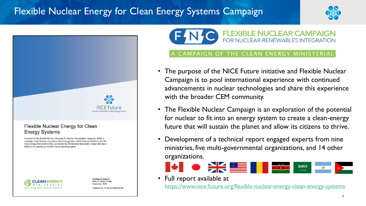# Flexible Nuclear Energy for Clean Energy Systems Campaign





#### Flexible Nuclear Energy for Clean **Energy Systems**

A product of the Flexible Nuclear Campaign for Nuclear-Renewables Integration (FNC), a campaign of the Nuclear Innovation: Clean Energy Future (NICE Future) initiative under the Clean Energy Ministerial (CEM), coordinated by the National Renewable Energy Laboratory (NREL) in its capacity as the NICE Future operating agent.



**Technical Report** NREL/TP-6A50-77088 September 2020 Contract No. DE-AC36-08GO28308

## **EXIBLE NUCLEAR CAMPAIGN** FOR NUCLEAR-RENEWABLES INTEGRATION

### THE CLEAN ENERGY MINISTERIAL

- The purpose of the NICE Future initiative and Flexible Nuclear Campaign is to pool international experience with continued advancements in nuclear technologies and share this experience with the broader CEM community.
- The Flexible Nuclear Campaign is an exploration of the potential for nuclear to fit into an energy system to create a clean-energy future that will sustain the planet and allow its citizens to thrive.
- Development of a technical report engaged experts from nine ministries, five multi-governmental organizations, and 14 other organizations.



• Full report available at

<https://www.nice-future.org/flexible-nuclear-energy-clean-energy-systems>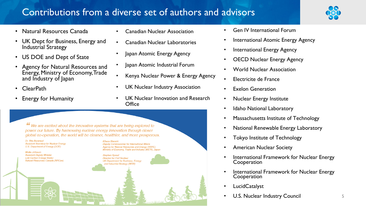# Contributions from a diverse set of authors and advisors



- Natural Resources Canada
- UK Dept for Business, Energy and Industrial Strategy
- US DOE and Dept of State
- Agency for Natural Resources and Energy, Ministry of Economy, Trade and Industry of Japan
- ClearPath
- Energy for Humanity
- Canadian Nuclear Association
- Canadian Nuclear Laboratories
- Japan Atomic Energy Agency
- lapan Atomic Industrial Forum
- Kenya Nuclear Power & Energy Agency
- UK Nuclear Industry Association
- UK Nuclear Innovation and Research **Office**

We are excited about the innovative systems that are being explored to power our future. By harnessing nuclear energy innovation through closer global co-operation, the world will be cleaner, healthier, and more prosperous.

Dr Rita Baranwal **Assistant Secretary for Nuclear Energy** U.S. Department of Energy (DOE)

**Mollie Johnson Assistant Deputy Minister Low Carbon Energy Sector** Natural Resources Canada (NRCan) Deputy Commissioner for International Affairs Agency for Natural Resources and Energy (ANRE) Ministry of Economy, Trade and Industry (METI), Japan

**Stephen Speed Director for Civil Nuclear** UK Department for Business, Energy and Industrial Strategy (BEIS)

- Gen IV International Forum
- International Atomic Energy Agency
- International Energy Agency
- **OECD Nuclear Energy Agency**
- World Nuclear Association
- Electricite de France
- Exelon Generation
- Nuclear Energy Institute
- **Idaho National Laboratory**
- Massachusetts Institute of Technology
- National Renewable Energy Laboratory
- Tokyo Institute of Technology
- American Nuclear Society
- International Framework for Nuclear Energy Cooperation
- International Framework for Nuclear Energy Cooperation
- **LucidCatalyst**
- U.S. Nuclear Industry Council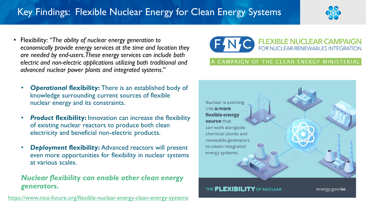# Key Findings: Flexible Nuclear Energy for Clean Energy Systems



• Flexibility: *"The ability of nuclear energy generation to economically provide energy services at the time and location they are needed by end-users. These energy services can include both electric and non-electric applications utilizing both traditional and advanced nuclear power plants and integrated systems."*



- *Product* **flexibility:** Innovation can increase the flexibility of existing nuclear reactors to produce both clean electricity and beneficial non-electric products.
- *Deployment* **flexibility:** Advanced reactors will present even more opportunities for flexibility in nuclear systems at various scales.

## *Nuclear flexibility can enable other clean energy generators.*

<https://www.nice-future.org/flexible-nuclear-energy-clean-energy-systems>



### AMPAIGN OF THE CLEAN ENERGY MINISTERIAL



THE **FLEXIBILITY** OF NUCLEAR

energy.gov/ne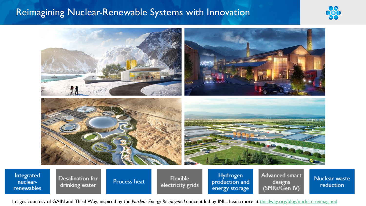## Reimagining Nuclear-Renewable Systems with Innovation

Process heat

nuclear-

renewables

drinking water





Nuclear waste reduction

Images courtesy of GAIN and Third Way, inspired by the *Nuclear Energy Reimagined* concept led by INL.. Learn more at [thirdway.org/blog/nuclear-reimagined](https://www.thirdway.org/blog/nuclear-reimagined)

electricity grids

production and

energy storage

designs

(SMRs/Gen IV)